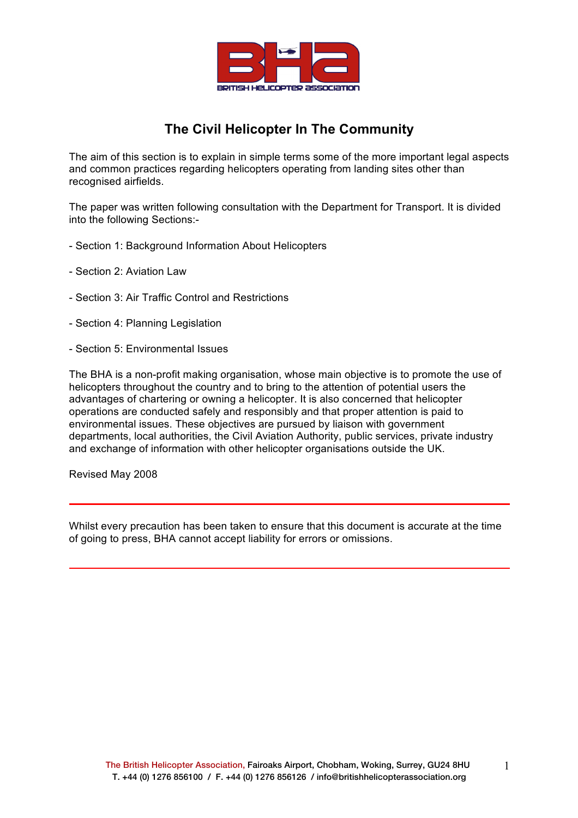

# **The Civil Helicopter In The Community**

The aim of this section is to explain in simple terms some of the more important legal aspects and common practices regarding helicopters operating from landing sites other than recognised airfields.

The paper was written following consultation with the Department for Transport. It is divided into the following Sections:-

- Section 1: Background Information About Helicopters
- Section 2: Aviation Law
- Section 3: Air Traffic Control and Restrictions
- Section 4: Planning Legislation
- Section 5: Environmental Issues

The BHA is a non-profit making organisation, whose main objective is to promote the use of helicopters throughout the country and to bring to the attention of potential users the advantages of chartering or owning a helicopter. It is also concerned that helicopter operations are conducted safely and responsibly and that proper attention is paid to environmental issues. These objectives are pursued by liaison with government departments, local authorities, the Civil Aviation Authority, public services, private industry and exchange of information with other helicopter organisations outside the UK.

Revised May 2008

Whilst every precaution has been taken to ensure that this document is accurate at the time of going to press, BHA cannot accept liability for errors or omissions.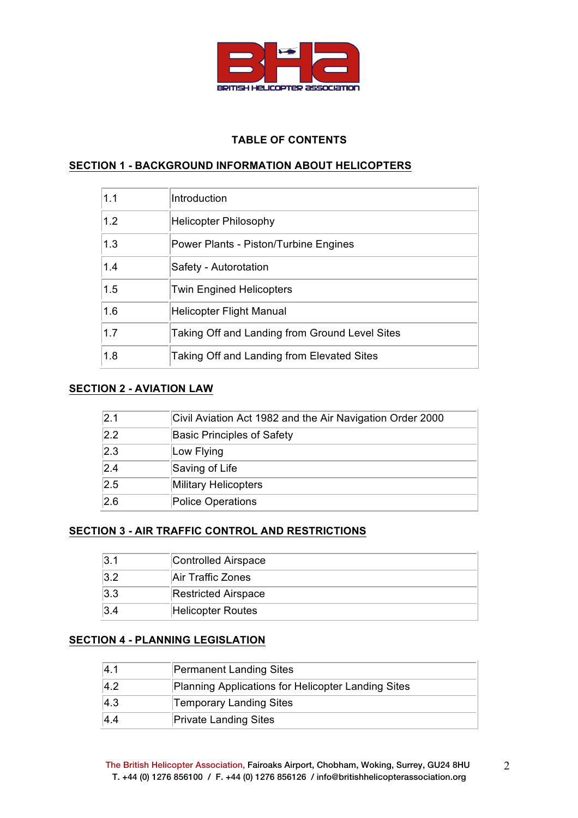

# **TABLE OF CONTENTS**

# **SECTION 1 - BACKGROUND INFORMATION ABOUT HELICOPTERS**

| 1.1 | Introduction                                   |
|-----|------------------------------------------------|
| 1.2 | <b>Helicopter Philosophy</b>                   |
| 1.3 | Power Plants - Piston/Turbine Engines          |
| 1.4 | Safety - Autorotation                          |
| 1.5 | <b>Twin Engined Helicopters</b>                |
| 1.6 | <b>Helicopter Flight Manual</b>                |
| 1.7 | Taking Off and Landing from Ground Level Sites |
| 1.8 | Taking Off and Landing from Elevated Sites     |

# **SECTION 2 - AVIATION LAW**

| 2.1           | Civil Aviation Act 1982 and the Air Navigation Order 2000 |
|---------------|-----------------------------------------------------------|
| 2.2           | <b>Basic Principles of Safety</b>                         |
| $ 2.3\rangle$ | Low Flying                                                |
| 2.4           | Saving of Life                                            |
| 2.5           | Military Helicopters                                      |
| 2.6           | Police Operations                                         |

# **SECTION 3 - AIR TRAFFIC CONTROL AND RESTRICTIONS**

| l3.1    | Controlled Airspace        |
|---------|----------------------------|
| $3.2\,$ | Air Traffic Zones          |
| 3.3     | <b>Restricted Airspace</b> |
| 3.4     | <b>Helicopter Routes</b>   |

# **SECTION 4 - PLANNING LEGISLATION**

| 4.1 | Permanent Landing Sites                            |
|-----|----------------------------------------------------|
| 4.2 | Planning Applications for Helicopter Landing Sites |
| 4.3 | Temporary Landing Sites                            |
| 4.4 | <b>Private Landing Sites</b>                       |

2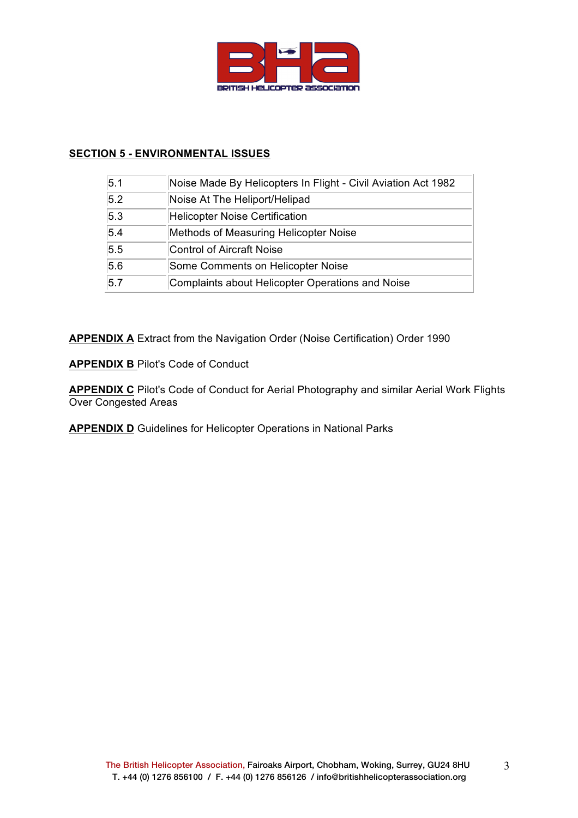

# **SECTION 5 - ENVIRONMENTAL ISSUES**

| 5.1 | Noise Made By Helicopters In Flight - Civil Aviation Act 1982 |
|-----|---------------------------------------------------------------|
| 5.2 | Noise At The Heliport/Helipad                                 |
| 5.3 | <b>Helicopter Noise Certification</b>                         |
| 5.4 | Methods of Measuring Helicopter Noise                         |
| 5.5 | <b>Control of Aircraft Noise</b>                              |
| 5.6 | Some Comments on Helicopter Noise                             |
| 5.7 | Complaints about Helicopter Operations and Noise              |

**APPENDIX A** Extract from the Navigation Order (Noise Certification) Order 1990

**APPENDIX B** Pilot's Code of Conduct

**APPENDIX C** Pilot's Code of Conduct for Aerial Photography and similar Aerial Work Flights Over Congested Areas

**APPENDIX D** Guidelines for Helicopter Operations in National Parks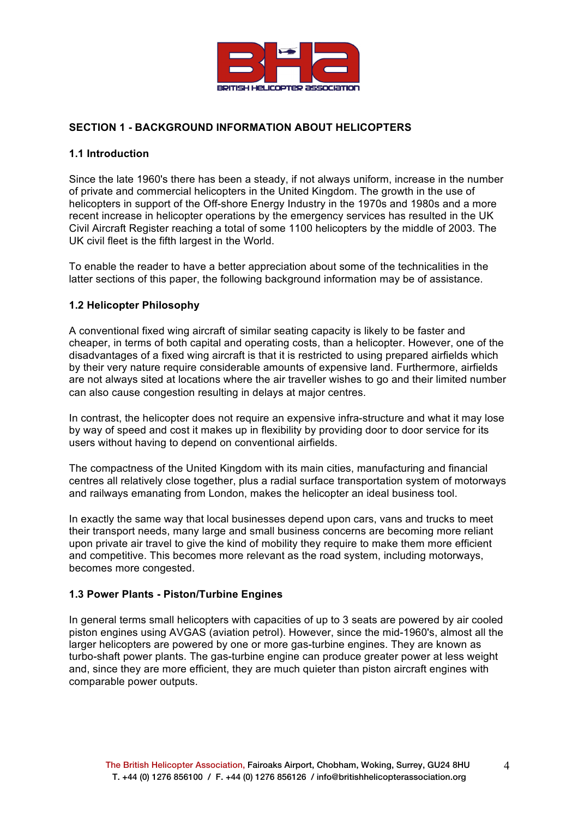

# **SECTION 1 - BACKGROUND INFORMATION ABOUT HELICOPTERS**

### **1.1 Introduction**

Since the late 1960's there has been a steady, if not always uniform, increase in the number of private and commercial helicopters in the United Kingdom. The growth in the use of helicopters in support of the Off-shore Energy Industry in the 1970s and 1980s and a more recent increase in helicopter operations by the emergency services has resulted in the UK Civil Aircraft Register reaching a total of some 1100 helicopters by the middle of 2003. The UK civil fleet is the fifth largest in the World.

To enable the reader to have a better appreciation about some of the technicalities in the latter sections of this paper, the following background information may be of assistance.

### **1.2 Helicopter Philosophy**

A conventional fixed wing aircraft of similar seating capacity is likely to be faster and cheaper, in terms of both capital and operating costs, than a helicopter. However, one of the disadvantages of a fixed wing aircraft is that it is restricted to using prepared airfields which by their very nature require considerable amounts of expensive land. Furthermore, airfields are not always sited at locations where the air traveller wishes to go and their limited number can also cause congestion resulting in delays at major centres.

In contrast, the helicopter does not require an expensive infra-structure and what it may lose by way of speed and cost it makes up in flexibility by providing door to door service for its users without having to depend on conventional airfields.

The compactness of the United Kingdom with its main cities, manufacturing and financial centres all relatively close together, plus a radial surface transportation system of motorways and railways emanating from London, makes the helicopter an ideal business tool.

In exactly the same way that local businesses depend upon cars, vans and trucks to meet their transport needs, many large and small business concerns are becoming more reliant upon private air travel to give the kind of mobility they require to make them more efficient and competitive. This becomes more relevant as the road system, including motorways, becomes more congested.

### **1.3 Power Plants - Piston/Turbine Engines**

In general terms small helicopters with capacities of up to 3 seats are powered by air cooled piston engines using AVGAS (aviation petrol). However, since the mid-1960's, almost all the larger helicopters are powered by one or more gas-turbine engines. They are known as turbo-shaft power plants. The gas-turbine engine can produce greater power at less weight and, since they are more efficient, they are much quieter than piston aircraft engines with comparable power outputs.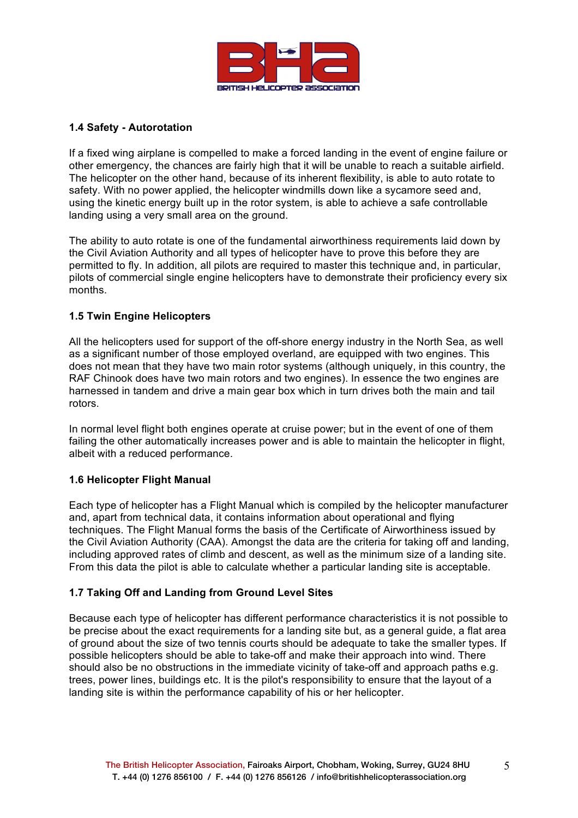

### **1.4 Safety - Autorotation**

If a fixed wing airplane is compelled to make a forced landing in the event of engine failure or other emergency, the chances are fairly high that it will be unable to reach a suitable airfield. The helicopter on the other hand, because of its inherent flexibility, is able to auto rotate to safety. With no power applied, the helicopter windmills down like a sycamore seed and, using the kinetic energy built up in the rotor system, is able to achieve a safe controllable landing using a very small area on the ground.

The ability to auto rotate is one of the fundamental airworthiness requirements laid down by the Civil Aviation Authority and all types of helicopter have to prove this before they are permitted to fly. In addition, all pilots are required to master this technique and, in particular, pilots of commercial single engine helicopters have to demonstrate their proficiency every six months.

# **1.5 Twin Engine Helicopters**

All the helicopters used for support of the off-shore energy industry in the North Sea, as well as a significant number of those employed overland, are equipped with two engines. This does not mean that they have two main rotor systems (although uniquely, in this country, the RAF Chinook does have two main rotors and two engines). In essence the two engines are harnessed in tandem and drive a main gear box which in turn drives both the main and tail rotors.

In normal level flight both engines operate at cruise power; but in the event of one of them failing the other automatically increases power and is able to maintain the helicopter in flight, albeit with a reduced performance.

### **1.6 Helicopter Flight Manual**

Each type of helicopter has a Flight Manual which is compiled by the helicopter manufacturer and, apart from technical data, it contains information about operational and flying techniques. The Flight Manual forms the basis of the Certificate of Airworthiness issued by the Civil Aviation Authority (CAA). Amongst the data are the criteria for taking off and landing, including approved rates of climb and descent, as well as the minimum size of a landing site. From this data the pilot is able to calculate whether a particular landing site is acceptable.

# **1.7 Taking Off and Landing from Ground Level Sites**

Because each type of helicopter has different performance characteristics it is not possible to be precise about the exact requirements for a landing site but, as a general guide, a flat area of ground about the size of two tennis courts should be adequate to take the smaller types. If possible helicopters should be able to take-off and make their approach into wind. There should also be no obstructions in the immediate vicinity of take-off and approach paths e.g. trees, power lines, buildings etc. It is the pilot's responsibility to ensure that the layout of a landing site is within the performance capability of his or her helicopter.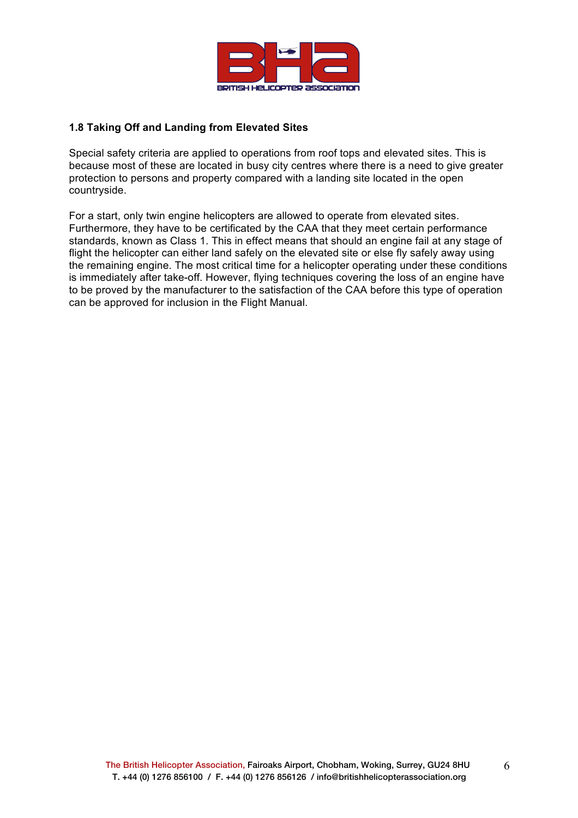

# **1.8 Taking Off and Landing from Elevated Sites**

Special safety criteria are applied to operations from roof tops and elevated sites. This is because most of these are located in busy city centres where there is a need to give greater protection to persons and property compared with a landing site located in the open countryside.

For a start, only twin engine helicopters are allowed to operate from elevated sites. Furthermore, they have to be certificated by the CAA that they meet certain performance standards, known as Class 1. This in effect means that should an engine fail at any stage of flight the helicopter can either land safely on the elevated site or else fly safely away using the remaining engine. The most critical time for a helicopter operating under these conditions is immediately after take-off. However, flying techniques covering the loss of an engine have to be proved by the manufacturer to the satisfaction of the CAA before this type of operation can be approved for inclusion in the Flight Manual.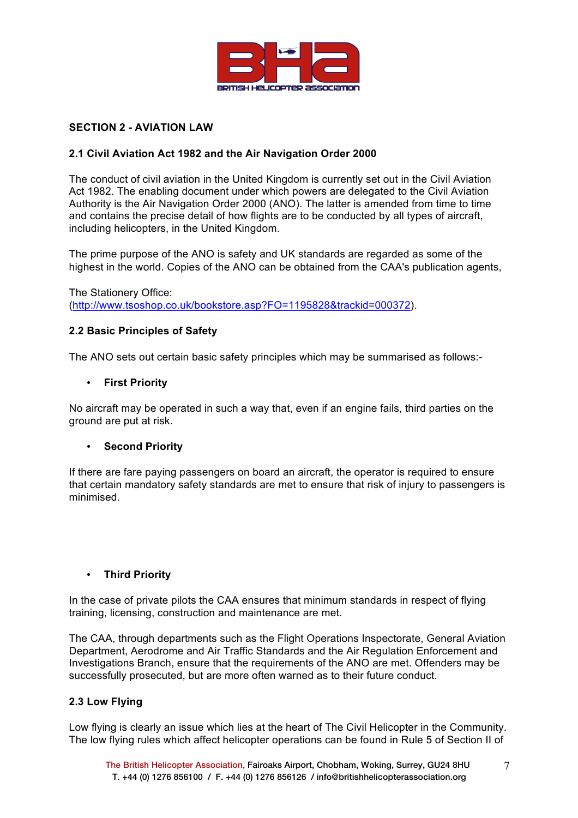

# **SECTION 2 - AVIATION LAW**

# **2.1 Civil Aviation Act 1982 and the Air Navigation Order 2000**

The conduct of civil aviation in the United Kingdom is currently set out in the Civil Aviation Act 1982. The enabling document under which powers are delegated to the Civil Aviation Authority is the Air Navigation Order 2000 (ANO). The latter is amended from time to time and contains the precise detail of how flights are to be conducted by all types of aircraft, including helicopters, in the United Kingdom.

The prime purpose of the ANO is safety and UK standards are regarded as some of the highest in the world. Copies of the ANO can be obtained from the CAA's publication agents,

The Stationery Office: (http://www.tsoshop.co.uk/bookstore.asp?FO=1195828&trackid=000372).

### **2.2 Basic Principles of Safety**

The ANO sets out certain basic safety principles which may be summarised as follows:-

#### • **First Priority**

No aircraft may be operated in such a way that, even if an engine fails, third parties on the ground are put at risk.

### • **Second Priority**

If there are fare paying passengers on board an aircraft, the operator is required to ensure that certain mandatory safety standards are met to ensure that risk of injury to passengers is minimised.

### • **Third Priority**

In the case of private pilots the CAA ensures that minimum standards in respect of flying training, licensing, construction and maintenance are met.

The CAA, through departments such as the Flight Operations Inspectorate, General Aviation Department, Aerodrome and Air Traffic Standards and the Air Regulation Enforcement and Investigations Branch, ensure that the requirements of the ANO are met. Offenders may be successfully prosecuted, but are more often warned as to their future conduct.

### **2.3 Low Flying**

Low flying is clearly an issue which lies at the heart of The Civil Helicopter in the Community. The low flying rules which affect helicopter operations can be found in Rule 5 of Section II of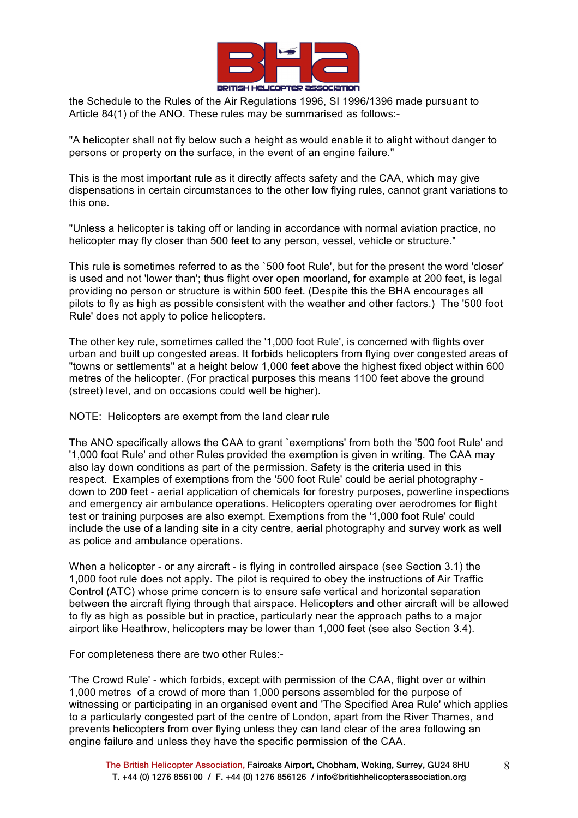

the Schedule to the Rules of the Air Regulations 1996, SI 1996/1396 made pursuant to Article 84(1) of the ANO. These rules may be summarised as follows:-

"A helicopter shall not fly below such a height as would enable it to alight without danger to persons or property on the surface, in the event of an engine failure."

This is the most important rule as it directly affects safety and the CAA, which may give dispensations in certain circumstances to the other low flying rules, cannot grant variations to this one.

"Unless a helicopter is taking off or landing in accordance with normal aviation practice, no helicopter may fly closer than 500 feet to any person, vessel, vehicle or structure."

This rule is sometimes referred to as the `500 foot Rule', but for the present the word 'closer' is used and not 'lower than'; thus flight over open moorland, for example at 200 feet, is legal providing no person or structure is within 500 feet. (Despite this the BHA encourages all pilots to fly as high as possible consistent with the weather and other factors.) The '500 foot Rule' does not apply to police helicopters.

The other key rule, sometimes called the '1,000 foot Rule', is concerned with flights over urban and built up congested areas. It forbids helicopters from flying over congested areas of "towns or settlements" at a height below 1,000 feet above the highest fixed object within 600 metres of the helicopter. (For practical purposes this means 1100 feet above the ground (street) level, and on occasions could well be higher).

NOTE: Helicopters are exempt from the land clear rule

The ANO specifically allows the CAA to grant `exemptions' from both the '500 foot Rule' and '1,000 foot Rule' and other Rules provided the exemption is given in writing. The CAA may also lay down conditions as part of the permission. Safety is the criteria used in this respect. Examples of exemptions from the '500 foot Rule' could be aerial photography down to 200 feet - aerial application of chemicals for forestry purposes, powerline inspections and emergency air ambulance operations. Helicopters operating over aerodromes for flight test or training purposes are also exempt. Exemptions from the '1,000 foot Rule' could include the use of a landing site in a city centre, aerial photography and survey work as well as police and ambulance operations.

When a helicopter - or any aircraft - is flying in controlled airspace (see Section 3.1) the 1,000 foot rule does not apply. The pilot is required to obey the instructions of Air Traffic Control (ATC) whose prime concern is to ensure safe vertical and horizontal separation between the aircraft flying through that airspace. Helicopters and other aircraft will be allowed to fly as high as possible but in practice, particularly near the approach paths to a major airport like Heathrow, helicopters may be lower than 1,000 feet (see also Section 3.4).

For completeness there are two other Rules:-

'The Crowd Rule' - which forbids, except with permission of the CAA, flight over or within 1,000 metres of a crowd of more than 1,000 persons assembled for the purpose of witnessing or participating in an organised event and 'The Specified Area Rule' which applies to a particularly congested part of the centre of London, apart from the River Thames, and prevents helicopters from over flying unless they can land clear of the area following an engine failure and unless they have the specific permission of the CAA.

8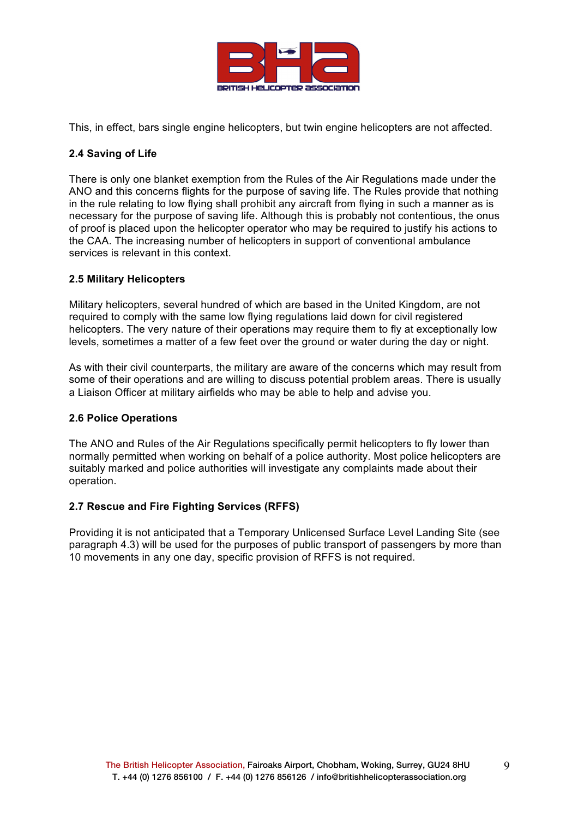

This, in effect, bars single engine helicopters, but twin engine helicopters are not affected.

# **2.4 Saving of Life**

There is only one blanket exemption from the Rules of the Air Regulations made under the ANO and this concerns flights for the purpose of saving life. The Rules provide that nothing in the rule relating to low flying shall prohibit any aircraft from flying in such a manner as is necessary for the purpose of saving life. Although this is probably not contentious, the onus of proof is placed upon the helicopter operator who may be required to justify his actions to the CAA. The increasing number of helicopters in support of conventional ambulance services is relevant in this context.

### **2.5 Military Helicopters**

Military helicopters, several hundred of which are based in the United Kingdom, are not required to comply with the same low flying regulations laid down for civil registered helicopters. The very nature of their operations may require them to fly at exceptionally low levels, sometimes a matter of a few feet over the ground or water during the day or night.

As with their civil counterparts, the military are aware of the concerns which may result from some of their operations and are willing to discuss potential problem areas. There is usually a Liaison Officer at military airfields who may be able to help and advise you.

### **2.6 Police Operations**

The ANO and Rules of the Air Regulations specifically permit helicopters to fly lower than normally permitted when working on behalf of a police authority. Most police helicopters are suitably marked and police authorities will investigate any complaints made about their operation.

### **2.7 Rescue and Fire Fighting Services (RFFS)**

Providing it is not anticipated that a Temporary Unlicensed Surface Level Landing Site (see paragraph 4.3) will be used for the purposes of public transport of passengers by more than 10 movements in any one day, specific provision of RFFS is not required.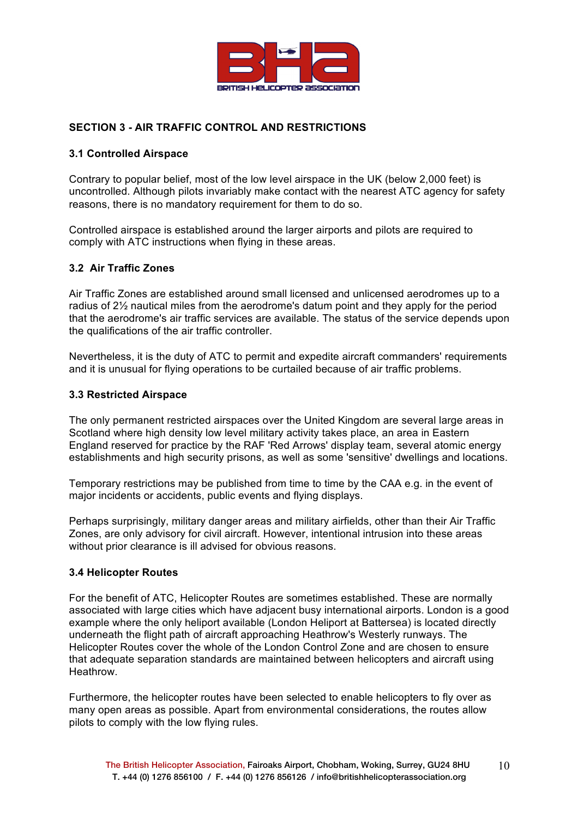

# **SECTION 3 - AIR TRAFFIC CONTROL AND RESTRICTIONS**

### **3.1 Controlled Airspace**

Contrary to popular belief, most of the low level airspace in the UK (below 2,000 feet) is uncontrolled. Although pilots invariably make contact with the nearest ATC agency for safety reasons, there is no mandatory requirement for them to do so.

Controlled airspace is established around the larger airports and pilots are required to comply with ATC instructions when flying in these areas.

#### **3.2 Air Traffic Zones**

Air Traffic Zones are established around small licensed and unlicensed aerodromes up to a radius of 2½ nautical miles from the aerodrome's datum point and they apply for the period that the aerodrome's air traffic services are available. The status of the service depends upon the qualifications of the air traffic controller.

Nevertheless, it is the duty of ATC to permit and expedite aircraft commanders' requirements and it is unusual for flying operations to be curtailed because of air traffic problems.

#### **3.3 Restricted Airspace**

The only permanent restricted airspaces over the United Kingdom are several large areas in Scotland where high density low level military activity takes place, an area in Eastern England reserved for practice by the RAF 'Red Arrows' display team, several atomic energy establishments and high security prisons, as well as some 'sensitive' dwellings and locations.

Temporary restrictions may be published from time to time by the CAA e.g. in the event of major incidents or accidents, public events and flying displays.

Perhaps surprisingly, military danger areas and military airfields, other than their Air Traffic Zones, are only advisory for civil aircraft. However, intentional intrusion into these areas without prior clearance is ill advised for obvious reasons.

#### **3.4 Helicopter Routes**

For the benefit of ATC, Helicopter Routes are sometimes established. These are normally associated with large cities which have adjacent busy international airports. London is a good example where the only heliport available (London Heliport at Battersea) is located directly underneath the flight path of aircraft approaching Heathrow's Westerly runways. The Helicopter Routes cover the whole of the London Control Zone and are chosen to ensure that adequate separation standards are maintained between helicopters and aircraft using **Heathrow** 

Furthermore, the helicopter routes have been selected to enable helicopters to fly over as many open areas as possible. Apart from environmental considerations, the routes allow pilots to comply with the low flying rules.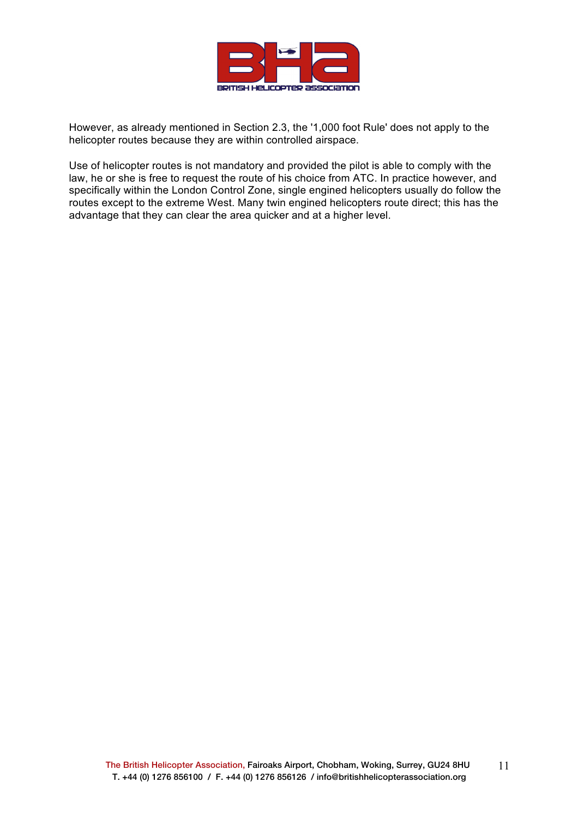

However, as already mentioned in Section 2.3, the '1,000 foot Rule' does not apply to the helicopter routes because they are within controlled airspace.

Use of helicopter routes is not mandatory and provided the pilot is able to comply with the law, he or she is free to request the route of his choice from ATC. In practice however, and specifically within the London Control Zone, single engined helicopters usually do follow the routes except to the extreme West. Many twin engined helicopters route direct; this has the advantage that they can clear the area quicker and at a higher level.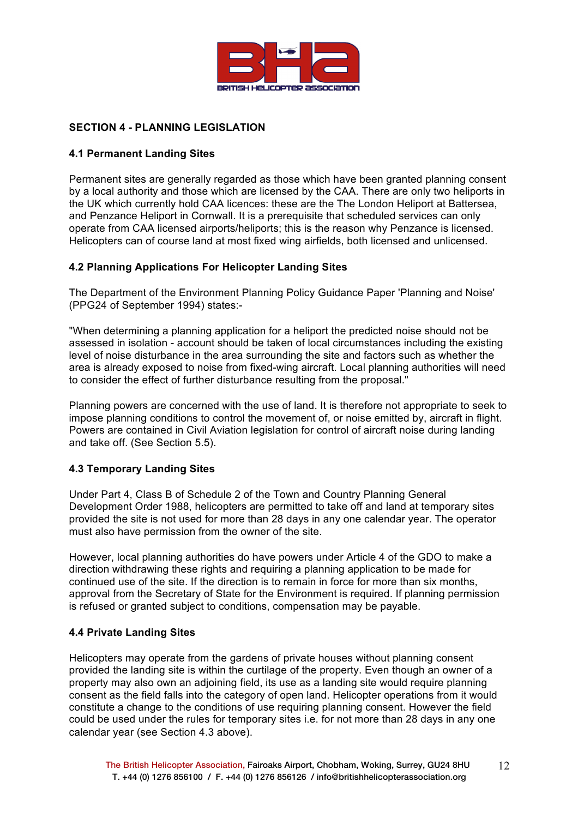

# **SECTION 4 - PLANNING LEGISLATION**

# **4.1 Permanent Landing Sites**

Permanent sites are generally regarded as those which have been granted planning consent by a local authority and those which are licensed by the CAA. There are only two heliports in the UK which currently hold CAA licences: these are the The London Heliport at Battersea, and Penzance Heliport in Cornwall. It is a prerequisite that scheduled services can only operate from CAA licensed airports/heliports; this is the reason why Penzance is licensed. Helicopters can of course land at most fixed wing airfields, both licensed and unlicensed.

# **4.2 Planning Applications For Helicopter Landing Sites**

The Department of the Environment Planning Policy Guidance Paper 'Planning and Noise' (PPG24 of September 1994) states:-

"When determining a planning application for a heliport the predicted noise should not be assessed in isolation - account should be taken of local circumstances including the existing level of noise disturbance in the area surrounding the site and factors such as whether the area is already exposed to noise from fixed-wing aircraft. Local planning authorities will need to consider the effect of further disturbance resulting from the proposal."

Planning powers are concerned with the use of land. It is therefore not appropriate to seek to impose planning conditions to control the movement of, or noise emitted by, aircraft in flight. Powers are contained in Civil Aviation legislation for control of aircraft noise during landing and take off. (See Section 5.5).

# **4.3 Temporary Landing Sites**

Under Part 4, Class B of Schedule 2 of the Town and Country Planning General Development Order 1988, helicopters are permitted to take off and land at temporary sites provided the site is not used for more than 28 days in any one calendar year. The operator must also have permission from the owner of the site.

However, local planning authorities do have powers under Article 4 of the GDO to make a direction withdrawing these rights and requiring a planning application to be made for continued use of the site. If the direction is to remain in force for more than six months, approval from the Secretary of State for the Environment is required. If planning permission is refused or granted subject to conditions, compensation may be payable.

### **4.4 Private Landing Sites**

Helicopters may operate from the gardens of private houses without planning consent provided the landing site is within the curtilage of the property. Even though an owner of a property may also own an adjoining field, its use as a landing site would require planning consent as the field falls into the category of open land. Helicopter operations from it would constitute a change to the conditions of use requiring planning consent. However the field could be used under the rules for temporary sites i.e. for not more than 28 days in any one calendar year (see Section 4.3 above).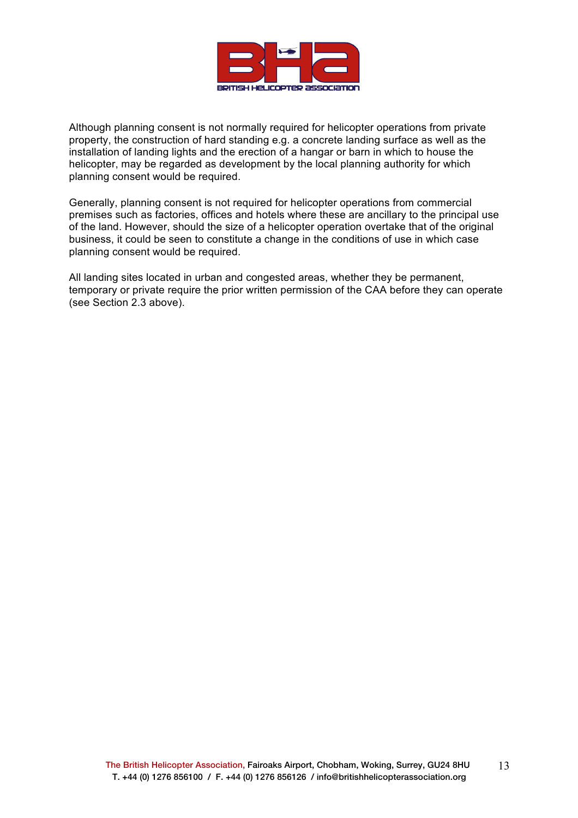

Although planning consent is not normally required for helicopter operations from private property, the construction of hard standing e.g. a concrete landing surface as well as the installation of landing lights and the erection of a hangar or barn in which to house the helicopter, may be regarded as development by the local planning authority for which planning consent would be required.

Generally, planning consent is not required for helicopter operations from commercial premises such as factories, offices and hotels where these are ancillary to the principal use of the land. However, should the size of a helicopter operation overtake that of the original business, it could be seen to constitute a change in the conditions of use in which case planning consent would be required.

All landing sites located in urban and congested areas, whether they be permanent, temporary or private require the prior written permission of the CAA before they can operate (see Section 2.3 above).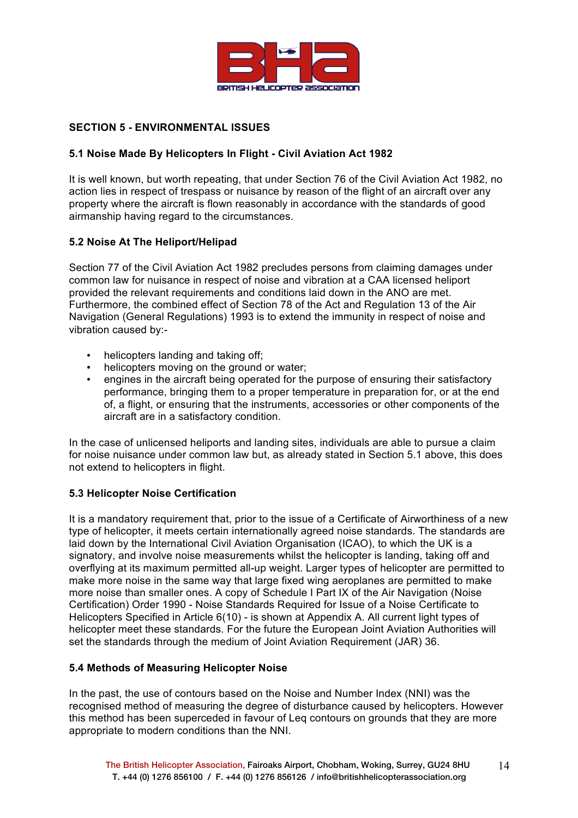

# **SECTION 5 - ENVIRONMENTAL ISSUES**

# **5.1 Noise Made By Helicopters In Flight - Civil Aviation Act 1982**

It is well known, but worth repeating, that under Section 76 of the Civil Aviation Act 1982, no action lies in respect of trespass or nuisance by reason of the flight of an aircraft over any property where the aircraft is flown reasonably in accordance with the standards of good airmanship having regard to the circumstances.

# **5.2 Noise At The Heliport/Helipad**

Section 77 of the Civil Aviation Act 1982 precludes persons from claiming damages under common law for nuisance in respect of noise and vibration at a CAA licensed heliport provided the relevant requirements and conditions laid down in the ANO are met. Furthermore, the combined effect of Section 78 of the Act and Regulation 13 of the Air Navigation (General Regulations) 1993 is to extend the immunity in respect of noise and vibration caused by:-

- helicopters landing and taking off;
- helicopters moving on the ground or water:
- engines in the aircraft being operated for the purpose of ensuring their satisfactory performance, bringing them to a proper temperature in preparation for, or at the end of, a flight, or ensuring that the instruments, accessories or other components of the aircraft are in a satisfactory condition.

In the case of unlicensed heliports and landing sites, individuals are able to pursue a claim for noise nuisance under common law but, as already stated in Section 5.1 above, this does not extend to helicopters in flight.

### **5.3 Helicopter Noise Certification**

It is a mandatory requirement that, prior to the issue of a Certificate of Airworthiness of a new type of helicopter, it meets certain internationally agreed noise standards. The standards are laid down by the International Civil Aviation Organisation (ICAO), to which the UK is a signatory, and involve noise measurements whilst the helicopter is landing, taking off and overflying at its maximum permitted all-up weight. Larger types of helicopter are permitted to make more noise in the same way that large fixed wing aeroplanes are permitted to make more noise than smaller ones. A copy of Schedule I Part IX of the Air Navigation (Noise Certification) Order 1990 - Noise Standards Required for Issue of a Noise Certificate to Helicopters Specified in Article 6(10) - is shown at Appendix A. All current light types of helicopter meet these standards. For the future the European Joint Aviation Authorities will set the standards through the medium of Joint Aviation Requirement (JAR) 36.

### **5.4 Methods of Measuring Helicopter Noise**

In the past, the use of contours based on the Noise and Number Index (NNI) was the recognised method of measuring the degree of disturbance caused by helicopters. However this method has been superceded in favour of Leq contours on grounds that they are more appropriate to modern conditions than the NNI.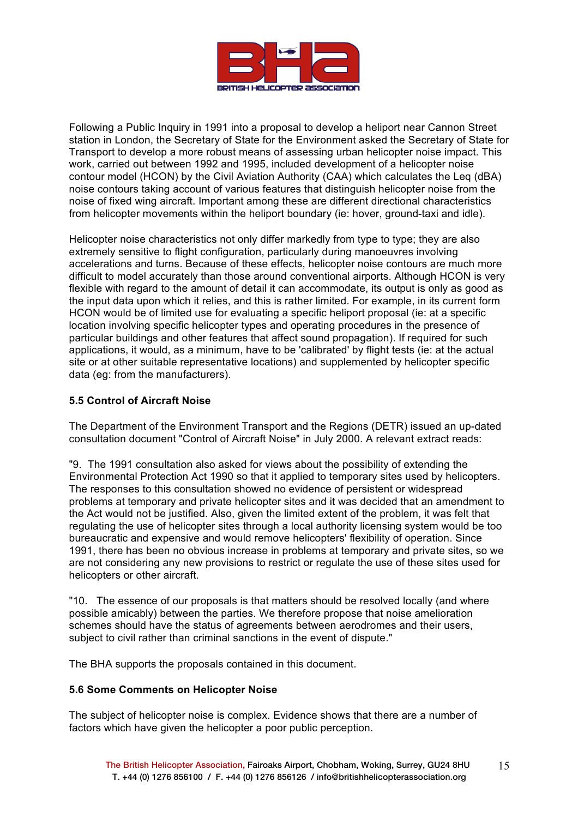

Following a Public Inquiry in 1991 into a proposal to develop a heliport near Cannon Street station in London, the Secretary of State for the Environment asked the Secretary of State for Transport to develop a more robust means of assessing urban helicopter noise impact. This work, carried out between 1992 and 1995, included development of a helicopter noise contour model (HCON) by the Civil Aviation Authority (CAA) which calculates the Leq (dBA) noise contours taking account of various features that distinguish helicopter noise from the noise of fixed wing aircraft. Important among these are different directional characteristics from helicopter movements within the heliport boundary (ie: hover, ground-taxi and idle).

Helicopter noise characteristics not only differ markedly from type to type; they are also extremely sensitive to flight configuration, particularly during manoeuvres involving accelerations and turns. Because of these effects, helicopter noise contours are much more difficult to model accurately than those around conventional airports. Although HCON is very flexible with regard to the amount of detail it can accommodate, its output is only as good as the input data upon which it relies, and this is rather limited. For example, in its current form HCON would be of limited use for evaluating a specific heliport proposal (ie: at a specific location involving specific helicopter types and operating procedures in the presence of particular buildings and other features that affect sound propagation). If required for such applications, it would, as a minimum, have to be 'calibrated' by flight tests (ie: at the actual site or at other suitable representative locations) and supplemented by helicopter specific data (eg: from the manufacturers).

# **5.5 Control of Aircraft Noise**

The Department of the Environment Transport and the Regions (DETR) issued an up-dated consultation document "Control of Aircraft Noise" in July 2000. A relevant extract reads:

"9. The 1991 consultation also asked for views about the possibility of extending the Environmental Protection Act 1990 so that it applied to temporary sites used by helicopters. The responses to this consultation showed no evidence of persistent or widespread problems at temporary and private helicopter sites and it was decided that an amendment to the Act would not be justified. Also, given the limited extent of the problem, it was felt that regulating the use of helicopter sites through a local authority licensing system would be too bureaucratic and expensive and would remove helicopters' flexibility of operation. Since 1991, there has been no obvious increase in problems at temporary and private sites, so we are not considering any new provisions to restrict or regulate the use of these sites used for helicopters or other aircraft.

"10. The essence of our proposals is that matters should be resolved locally (and where possible amicably) between the parties. We therefore propose that noise amelioration schemes should have the status of agreements between aerodromes and their users, subject to civil rather than criminal sanctions in the event of dispute."

The BHA supports the proposals contained in this document.

### **5.6 Some Comments on Helicopter Noise**

The subject of helicopter noise is complex. Evidence shows that there are a number of factors which have given the helicopter a poor public perception.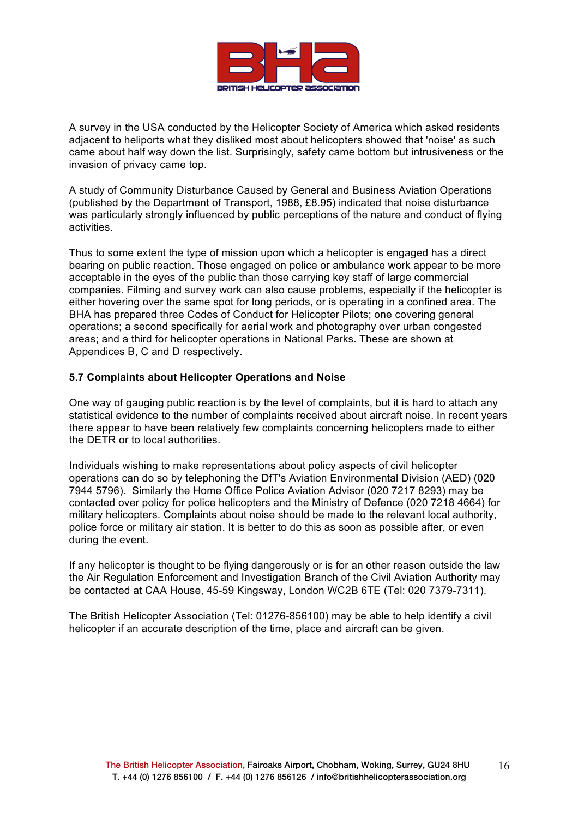

A survey in the USA conducted by the Helicopter Society of America which asked residents adjacent to heliports what they disliked most about helicopters showed that 'noise' as such came about half way down the list. Surprisingly, safety came bottom but intrusiveness or the invasion of privacy came top.

A study of Community Disturbance Caused by General and Business Aviation Operations (published by the Department of Transport, 1988, £8.95) indicated that noise disturbance was particularly strongly influenced by public perceptions of the nature and conduct of flying activities.

Thus to some extent the type of mission upon which a helicopter is engaged has a direct bearing on public reaction. Those engaged on police or ambulance work appear to be more acceptable in the eyes of the public than those carrying key staff of large commercial companies. Filming and survey work can also cause problems, especially if the helicopter is either hovering over the same spot for long periods, or is operating in a confined area. The BHA has prepared three Codes of Conduct for Helicopter Pilots; one covering general operations; a second specifically for aerial work and photography over urban congested areas; and a third for helicopter operations in National Parks. These are shown at Appendices B, C and D respectively.

### **5.7 Complaints about Helicopter Operations and Noise**

One way of gauging public reaction is by the level of complaints, but it is hard to attach any statistical evidence to the number of complaints received about aircraft noise. In recent years there appear to have been relatively few complaints concerning helicopters made to either the DETR or to local authorities.

Individuals wishing to make representations about policy aspects of civil helicopter operations can do so by telephoning the DfT's Aviation Environmental Division (AED) (020 7944 5796). Similarly the Home Office Police Aviation Advisor (020 7217 8293) may be contacted over policy for police helicopters and the Ministry of Defence (020 7218 4664) for military helicopters. Complaints about noise should be made to the relevant local authority, police force or military air station. It is better to do this as soon as possible after, or even during the event.

If any helicopter is thought to be flying dangerously or is for an other reason outside the law the Air Regulation Enforcement and Investigation Branch of the Civil Aviation Authority may be contacted at CAA House, 45-59 Kingsway, London WC2B 6TE (Tel: 020 7379-7311).

The British Helicopter Association (Tel: 01276-856100) may be able to help identify a civil helicopter if an accurate description of the time, place and aircraft can be given.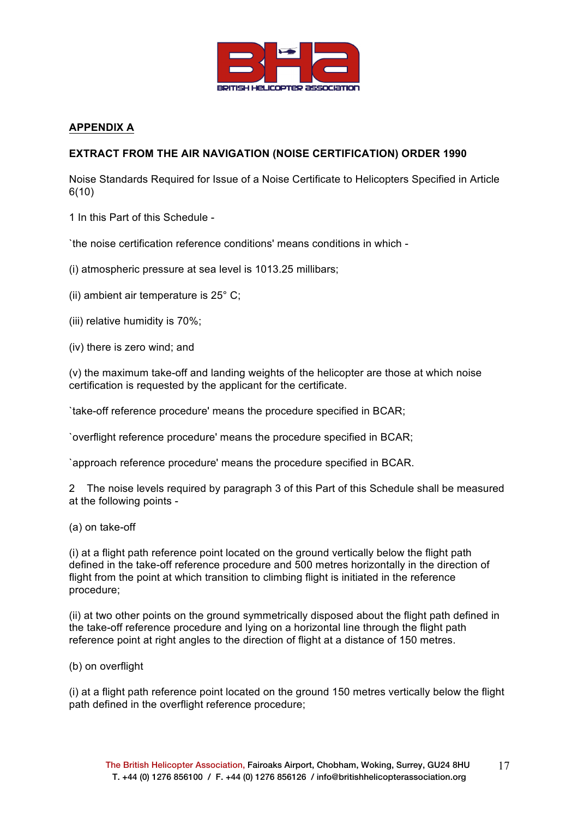

# **APPENDIX A**

# **EXTRACT FROM THE AIR NAVIGATION (NOISE CERTIFICATION) ORDER 1990**

Noise Standards Required for Issue of a Noise Certificate to Helicopters Specified in Article 6(10)

1 In this Part of this Schedule -

`the noise certification reference conditions' means conditions in which -

(i) atmospheric pressure at sea level is 1013.25 millibars;

(ii) ambient air temperature is 25° C;

- (iii) relative humidity is 70%;
- (iv) there is zero wind; and

(v) the maximum take-off and landing weights of the helicopter are those at which noise certification is requested by the applicant for the certificate.

`take-off reference procedure' means the procedure specified in BCAR;

`overflight reference procedure' means the procedure specified in BCAR;

`approach reference procedure' means the procedure specified in BCAR.

2 The noise levels required by paragraph 3 of this Part of this Schedule shall be measured at the following points -

(a) on take-off

(i) at a flight path reference point located on the ground vertically below the flight path defined in the take-off reference procedure and 500 metres horizontally in the direction of flight from the point at which transition to climbing flight is initiated in the reference procedure;

(ii) at two other points on the ground symmetrically disposed about the flight path defined in the take-off reference procedure and lying on a horizontal line through the flight path reference point at right angles to the direction of flight at a distance of 150 metres.

(b) on overflight

(i) at a flight path reference point located on the ground 150 metres vertically below the flight path defined in the overflight reference procedure;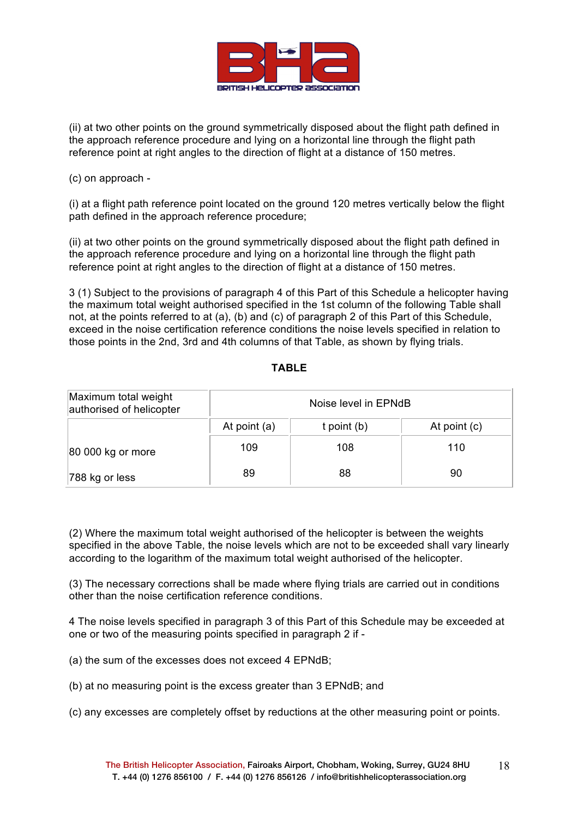

(ii) at two other points on the ground symmetrically disposed about the flight path defined in the approach reference procedure and lying on a horizontal line through the flight path reference point at right angles to the direction of flight at a distance of 150 metres.

(c) on approach -

(i) at a flight path reference point located on the ground 120 metres vertically below the flight path defined in the approach reference procedure;

(ii) at two other points on the ground symmetrically disposed about the flight path defined in the approach reference procedure and lying on a horizontal line through the flight path reference point at right angles to the direction of flight at a distance of 150 metres.

3 (1) Subject to the provisions of paragraph 4 of this Part of this Schedule a helicopter having the maximum total weight authorised specified in the 1st column of the following Table shall not, at the points referred to at (a), (b) and (c) of paragraph 2 of this Part of this Schedule, exceed in the noise certification reference conditions the noise levels specified in relation to those points in the 2nd, 3rd and 4th columns of that Table, as shown by flying trials.

| Maximum total weight<br>authorised of helicopter | Noise level in EPNdB |                 |              |  |
|--------------------------------------------------|----------------------|-----------------|--------------|--|
|                                                  | At point (a)         | $t$ point $(b)$ | At point (c) |  |
| 80 000 kg or more                                | 109                  | 108             | 110          |  |
| 788 kg or less                                   | 89                   | 88              | 90           |  |

**TABLE**

(2) Where the maximum total weight authorised of the helicopter is between the weights specified in the above Table, the noise levels which are not to be exceeded shall vary linearly according to the logarithm of the maximum total weight authorised of the helicopter.

(3) The necessary corrections shall be made where flying trials are carried out in conditions other than the noise certification reference conditions.

4 The noise levels specified in paragraph 3 of this Part of this Schedule may be exceeded at one or two of the measuring points specified in paragraph 2 if -

(a) the sum of the excesses does not exceed 4 EPNdB;

(b) at no measuring point is the excess greater than 3 EPNdB; and

(c) any excesses are completely offset by reductions at the other measuring point or points.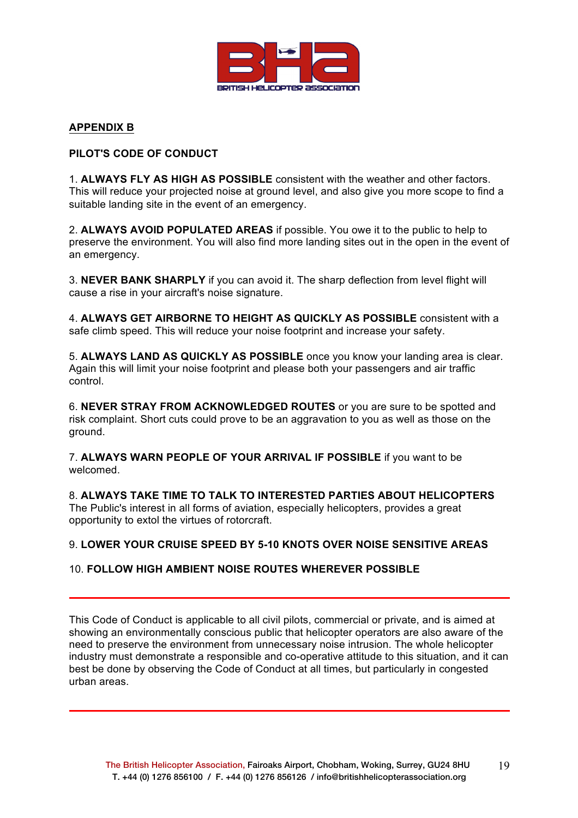

# **APPENDIX B**

# **PILOT'S CODE OF CONDUCT**

1. **ALWAYS FLY AS HIGH AS POSSIBLE** consistent with the weather and other factors. This will reduce your projected noise at ground level, and also give you more scope to find a suitable landing site in the event of an emergency.

2. **ALWAYS AVOID POPULATED AREAS** if possible. You owe it to the public to help to preserve the environment. You will also find more landing sites out in the open in the event of an emergency.

3. **NEVER BANK SHARPLY** if you can avoid it. The sharp deflection from level flight will cause a rise in your aircraft's noise signature.

4. **ALWAYS GET AIRBORNE TO HEIGHT AS QUICKLY AS POSSIBLE** consistent with a safe climb speed. This will reduce your noise footprint and increase your safety.

5. **ALWAYS LAND AS QUICKLY AS POSSIBLE** once you know your landing area is clear. Again this will limit your noise footprint and please both your passengers and air traffic control.

6. **NEVER STRAY FROM ACKNOWLEDGED ROUTES** or you are sure to be spotted and risk complaint. Short cuts could prove to be an aggravation to you as well as those on the ground.

7. **ALWAYS WARN PEOPLE OF YOUR ARRIVAL IF POSSIBLE** if you want to be welcomed.

8. **ALWAYS TAKE TIME TO TALK TO INTERESTED PARTIES ABOUT HELICOPTERS** The Public's interest in all forms of aviation, especially helicopters, provides a great opportunity to extol the virtues of rotorcraft.

### 9. **LOWER YOUR CRUISE SPEED BY 5-10 KNOTS OVER NOISE SENSITIVE AREAS**

### 10. **FOLLOW HIGH AMBIENT NOISE ROUTES WHEREVER POSSIBLE**

This Code of Conduct is applicable to all civil pilots, commercial or private, and is aimed at showing an environmentally conscious public that helicopter operators are also aware of the need to preserve the environment from unnecessary noise intrusion. The whole helicopter industry must demonstrate a responsible and co-operative attitude to this situation, and it can best be done by observing the Code of Conduct at all times, but particularly in congested urban areas.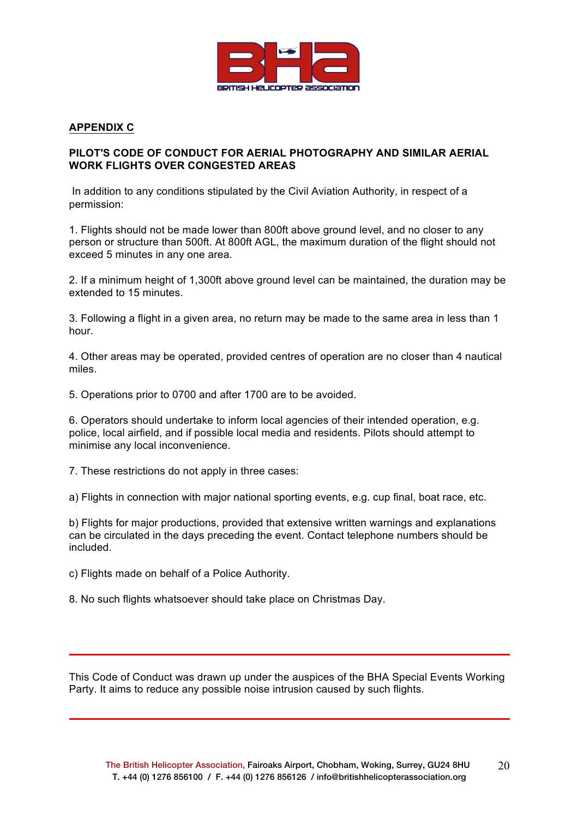

# **APPENDIX C**

# **PILOT'S CODE OF CONDUCT FOR AERIAL PHOTOGRAPHY AND SIMILAR AERIAL WORK FLIGHTS OVER CONGESTED AREAS**

In addition to any conditions stipulated by the Civil Aviation Authority, in respect of a permission:

1. Flights should not be made lower than 800ft above ground level, and no closer to any person or structure than 500ft. At 800ft AGL, the maximum duration of the flight should not exceed 5 minutes in any one area.

2. If a minimum height of 1,300ft above ground level can be maintained, the duration may be extended to 15 minutes.

3. Following a flight in a given area, no return may be made to the same area in less than 1 hour.

4. Other areas may be operated, provided centres of operation are no closer than 4 nautical miles.

5. Operations prior to 0700 and after 1700 are to be avoided.

6. Operators should undertake to inform local agencies of their intended operation, e.g. police, local airfield, and if possible local media and residents. Pilots should attempt to minimise any local inconvenience.

7. These restrictions do not apply in three cases:

a) Flights in connection with major national sporting events, e.g. cup final, boat race, etc.

b) Flights for major productions, provided that extensive written warnings and explanations can be circulated in the days preceding the event. Contact telephone numbers should be included.

c) Flights made on behalf of a Police Authority.

8. No such flights whatsoever should take place on Christmas Day.

This Code of Conduct was drawn up under the auspices of the BHA Special Events Working Party. It aims to reduce any possible noise intrusion caused by such flights.